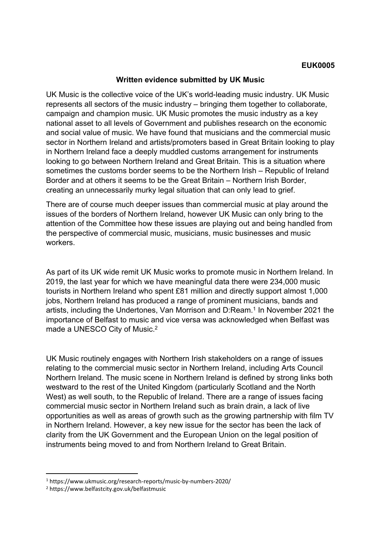## **Written evidence submitted by UK Music**

UK Music is the collective voice of the UK's world-leading music industry. UK Music represents all sectors of the music industry – bringing them together to collaborate, campaign and champion music. UK Music promotes the music industry as a key national asset to all levels of Government and publishes research on the economic and social value of music. We have found that musicians and the commercial music sector in Northern Ireland and artists/promoters based in Great Britain looking to play in Northern Ireland face a deeply muddled customs arrangement for instruments looking to go between Northern Ireland and Great Britain. This is a situation where sometimes the customs border seems to be the Northern Irish – Republic of Ireland Border and at others it seems to be the Great Britain – Northern Irish Border, creating an unnecessarily murky legal situation that can only lead to grief.

There are of course much deeper issues than commercial music at play around the issues of the borders of Northern Ireland, however UK Music can only bring to the attention of the Committee how these issues are playing out and being handled from the perspective of commercial music, musicians, music businesses and music workers.

As part of its UK wide remit UK Music works to promote music in Northern Ireland. In 2019, the last year for which we have meaningful data there were 234,000 music tourists in Northern Ireland who spent £81 million and directly support almost 1,000 jobs, Northern Ireland has produced a range of prominent musicians, bands and artists, including the Undertones, Van Morrison and D:Ream.<sup>1</sup> In November 2021 the importance of Belfast to music and vice versa was acknowledged when Belfast was made a UNESCO City of Music.<sup>2</sup>

UK Music routinely engages with Northern Irish stakeholders on a range of issues relating to the commercial music sector in Northern Ireland, including Arts Council Northern Ireland. The music scene in Northern Ireland is defined by strong links both westward to the rest of the United Kingdom (particularly Scotland and the North West) as well south, to the Republic of Ireland. There are a range of issues facing commercial music sector in Northern Ireland such as brain drain, a lack of live opportunities as well as areas of growth such as the growing partnership with film TV in Northern Ireland. However, a key new issue for the sector has been the lack of clarity from the UK Government and the European Union on the legal position of instruments being moved to and from Northern Ireland to Great Britain.

<sup>1</sup> https://www.ukmusic.org/research-reports/music-by-numbers-2020/

<sup>2</sup> https://www.belfastcity.gov.uk/belfastmusic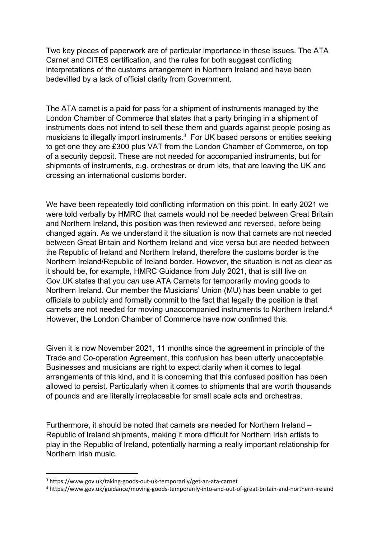Two key pieces of paperwork are of particular importance in these issues. The ATA Carnet and CITES certification, and the rules for both suggest conflicting interpretations of the customs arrangement in Northern Ireland and have been bedevilled by a lack of official clarity from Government.

The ATA carnet is a paid for pass for a shipment of instruments managed by the London Chamber of Commerce that states that a party bringing in a shipment of instruments does not intend to sell these them and guards against people posing as musicians to illegally import instruments.<sup>3</sup> For UK based persons or entities seeking to get one they are £300 plus VAT from the London Chamber of Commerce, on top of a security deposit. These are not needed for accompanied instruments, but for shipments of instruments, e.g. orchestras or drum kits, that are leaving the UK and crossing an international customs border.

We have been repeatedly told conflicting information on this point. In early 2021 we were told verbally by HMRC that carnets would not be needed between Great Britain and Northern Ireland, this position was then reviewed and reversed, before being changed again. As we understand it the situation is now that carnets are not needed between Great Britain and Northern Ireland and vice versa but are needed between the Republic of Ireland and Northern Ireland, therefore the customs border is the Northern Ireland/Republic of Ireland border. However, the situation is not as clear as it should be, for example, HMRC Guidance from July 2021, that is still live on Gov.UK states that you *can* use ATA Carnets for temporarily moving goods to Northern Ireland. Our member the Musicians' Union (MU) has been unable to get officials to publicly and formally commit to the fact that legally the position is that carnets are not needed for moving unaccompanied instruments to Northern Ireland.<sup>4</sup> However, the London Chamber of Commerce have now confirmed this.

Given it is now November 2021, 11 months since the agreement in principle of the Trade and Co-operation Agreement, this confusion has been utterly unacceptable. Businesses and musicians are right to expect clarity when it comes to legal arrangements of this kind, and it is concerning that this confused position has been allowed to persist. Particularly when it comes to shipments that are worth thousands of pounds and are literally irreplaceable for small scale acts and orchestras.

Furthermore, it should be noted that carnets are needed for Northern Ireland – Republic of Ireland shipments, making it more difficult for Northern Irish artists to play in the Republic of Ireland, potentially harming a really important relationship for Northern Irish music.

<sup>3</sup> https://www.gov.uk/taking-goods-out-uk-temporarily/get-an-ata-carnet

<sup>4</sup> https://www.gov.uk/guidance/moving-goods-temporarily-into-and-out-of-great-britain-and-northern-ireland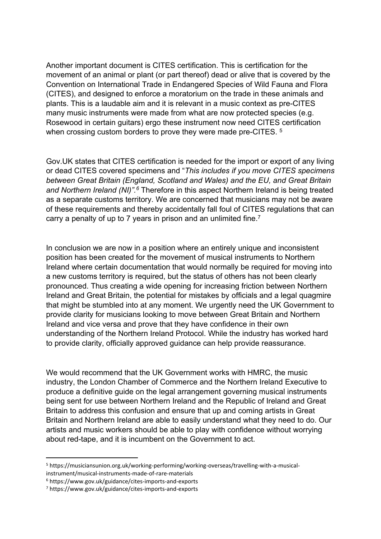Another important document is CITES certification. This is certification for the movement of an animal or plant (or part thereof) dead or alive that is covered by the Convention on International Trade in Endangered Species of Wild Fauna and Flora (CITES), and designed to enforce a moratorium on the trade in these animals and plants. This is a laudable aim and it is relevant in a music context as pre-CITES many music instruments were made from what are now protected species (e.g. Rosewood in certain guitars) ergo these instrument now need CITES certification when crossing custom borders to prove they were made pre-CITES.<sup>5</sup>

Gov.UK states that CITES certification is needed for the import or export of any living or dead CITES covered specimens and "*This includes if you move CITES specimens between Great Britain (England, Scotland and Wales) and the EU, and Great Britain and Northern Ireland (NI)".<sup>6</sup>* Therefore in this aspect Northern Ireland is being treated as a separate customs territory. We are concerned that musicians may not be aware of these requirements and thereby accidentally fall foul of CITES regulations that can carry a penalty of up to 7 years in prison and an unlimited fine.<sup>7</sup>

In conclusion we are now in a position where an entirely unique and inconsistent position has been created for the movement of musical instruments to Northern Ireland where certain documentation that would normally be required for moving into a new customs territory is required, but the status of others has not been clearly pronounced. Thus creating a wide opening for increasing friction between Northern Ireland and Great Britain, the potential for mistakes by officials and a legal quagmire that might be stumbled into at any moment. We urgently need the UK Government to provide clarity for musicians looking to move between Great Britain and Northern Ireland and vice versa and prove that they have confidence in their own understanding of the Northern Ireland Protocol. While the industry has worked hard to provide clarity, officially approved guidance can help provide reassurance.

We would recommend that the UK Government works with HMRC, the music industry, the London Chamber of Commerce and the Northern Ireland Executive to produce a definitive guide on the legal arrangement governing musical instruments being sent for use between Northern Ireland and the Republic of Ireland and Great Britain to address this confusion and ensure that up and coming artists in Great Britain and Northern Ireland are able to easily understand what they need to do. Our artists and music workers should be able to play with confidence without worrying about red-tape, and it is incumbent on the Government to act.

<sup>5</sup> https://musiciansunion.org.uk/working-performing/working-overseas/travelling-with-a-musicalinstrument/musical-instruments-made-of-rare-materials

<sup>6</sup> https://www.gov.uk/guidance/cites-imports-and-exports

<sup>7</sup> https://www.gov.uk/guidance/cites-imports-and-exports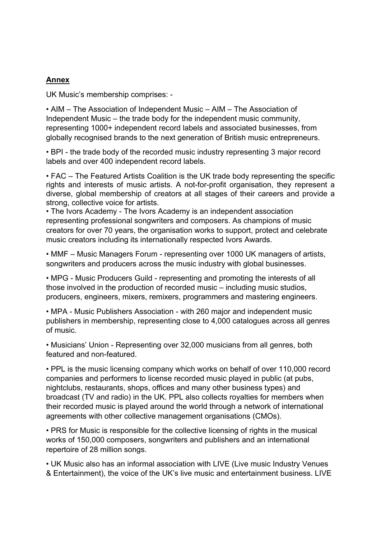## **Annex**

UK Music's membership comprises: -

• AIM – The Association of Independent Music – AIM – The Association of Independent Music – the trade body for the independent music community, representing 1000+ independent record labels and associated businesses, from globally recognised brands to the next generation of British music entrepreneurs.

• BPI - the trade body of the recorded music industry representing 3 major record labels and over 400 independent record labels.

• FAC – The Featured Artists Coalition is the UK trade body representing the specific rights and interests of music artists. A not-for-profit organisation, they represent a diverse, global membership of creators at all stages of their careers and provide a strong, collective voice for artists.

• The Ivors Academy - The Ivors Academy is an independent association representing professional songwriters and composers. As champions of music creators for over 70 years, the organisation works to support, protect and celebrate music creators including its internationally respected Ivors Awards.

• MMF – Music Managers Forum - representing over 1000 UK managers of artists, songwriters and producers across the music industry with global businesses.

• MPG - Music Producers Guild - representing and promoting the interests of all those involved in the production of recorded music – including music studios, producers, engineers, mixers, remixers, programmers and mastering engineers.

• MPA - Music Publishers Association - with 260 major and independent music publishers in membership, representing close to 4,000 catalogues across all genres of music.

• Musicians' Union - Representing over 32,000 musicians from all genres, both featured and non-featured.

• PPL is the music licensing company which works on behalf of over 110,000 record companies and performers to license recorded music played in public (at pubs, nightclubs, restaurants, shops, offices and many other business types) and broadcast (TV and radio) in the UK. PPL also collects royalties for members when their recorded music is played around the world through a network of international agreements with other collective management organisations (CMOs).

• PRS for Music is responsible for the collective licensing of rights in the musical works of 150,000 composers, songwriters and publishers and an international repertoire of 28 million songs.

• UK Music also has an informal association with LIVE (Live music Industry Venues & Entertainment), the voice of the UK's live music and entertainment business. LIVE